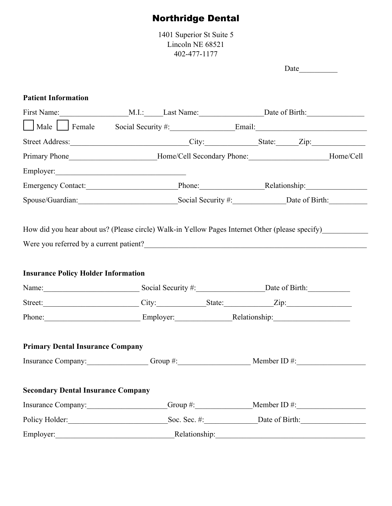# Northridge Dental

1401 Superior St Suite 5 Lincoln NE 68521 402-477-1177

 $Date$   $\qquad \qquad$ 

### **Patient Information**

| First Name: M.I.: Last Name: Date of Birth:                                                                                                |               |  |
|--------------------------------------------------------------------------------------------------------------------------------------------|---------------|--|
| Male Female Social Security #: Email: Email:                                                                                               |               |  |
| Street Address: City: State: Zip: Zip:                                                                                                     |               |  |
| Primary Phone________________________Home/Cell Secondary Phone:__________________Home/Cell                                                 |               |  |
| Employer:                                                                                                                                  |               |  |
| Emergency Contact: Phone: Relationship: Relationship:                                                                                      |               |  |
| Spouse/Guardian: Social Security #: Date of Birth: Date of Birth:                                                                          |               |  |
| How did you hear about us? (Please circle) Walk-in Yellow Pages Internet Other (please specify)<br>Were you referred by a current patient? |               |  |
| <b>Insurance Policy Holder Information</b>                                                                                                 |               |  |
|                                                                                                                                            |               |  |
| Street: City: State: Zip: Zip:                                                                                                             |               |  |
| Phone: Employer: Relationship: Relationship:                                                                                               |               |  |
| <b>Primary Dental Insurance Company</b>                                                                                                    |               |  |
| Insurance Company: Group #: Group #: Member ID #:                                                                                          |               |  |
| <b>Secondary Dental Insurance Company</b>                                                                                                  |               |  |
| Insurance Company: Group #: Member ID #:                                                                                                   |               |  |
| Policy Holder: Soc. Sec. #: Date of Birth:                                                                                                 |               |  |
| Employer:                                                                                                                                  | Relationship: |  |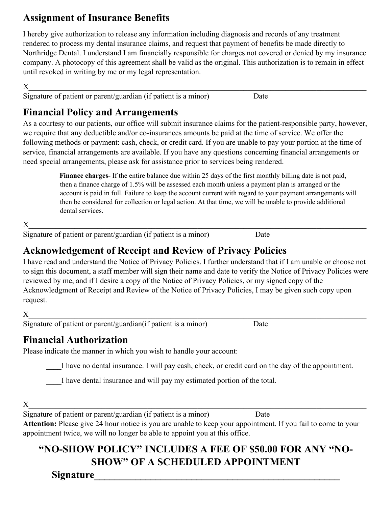### **Assignment of Insurance Benefits**

I hereby give authorization to release any information including diagnosis and records of any treatment rendered to process my dental insurance claims, and request that payment of benefits be made directly to Northridge Dental. I understand I am financially responsible for charges not covered or denied by my insurance company. A photocopy of this agreement shall be valid as the original. This authorization is to remain in effect until revoked in writing by me or my legal representation.

 ${\bf X}$  , and the contribution of the contribution of the contribution of the contribution of the contribution of the contribution of the contribution of the contribution of the contribution of the contribution of the cont Signature of patient or parent/guardian (if patient is a minor) Date

# **Financial Policy and Arrangements**

As a courtesy to our patients, our office will submit insurance claims for the patient-responsible party, however, we require that any deductible and/or co-insurances amounts be paid at the time of service. We offer the following methods or payment: cash, check, or credit card. If you are unable to pay your portion at the time of service, financial arrangements are available. If you have any questions concerning financial arrangements or need special arrangements, please ask for assistance prior to services being rendered.

> **Finance charges-** If the entire balance due within 25 days of the first monthly billing date is not paid, then a finance charge of 1.5% will be assessed each month unless a payment plan is arranged or the account is paid in full. Failure to keep the account current with regard to your payment arrangements will then be considered for collection or legal action. At that time, we will be unable to provide additional dental services.

 ${\bf X}$  , and the contribution of the contribution of the contribution of the contribution of the contribution of the contribution of the contribution of the contribution of the contribution of the contribution of the cont

Signature of patient or parent/guardian (if patient is a minor) Date

# **Acknowledgement of Receipt and Review of Privacy Policies**

I have read and understand the Notice of Privacy Policies. I further understand that if I am unable or choose not to sign this document, a staff member will sign their name and date to verify the Notice of Privacy Policies were reviewed by me, and if I desire a copy of the Notice of Privacy Policies, or my signed copy of the Acknowledgment of Receipt and Review of the Notice of Privacy Policies, I may be given such copy upon request.

Signature of patient or parent/guardian(if patient is a minor) Date

### **Financial Authorization**

Please indicate the manner in which you wish to handle your account:

I have no dental insurance. I will pay cash, check, or credit card on the day of the appointment.

I have dental insurance and will pay my estimated portion of the total.

 ${\bf X}$  , and the contribution of the contribution of the contribution of the contribution of the contribution of the contribution of the contribution of the contribution of the contribution of the contribution of the cont Signature of patient or parent/guardian (if patient is a minor) Date

**Attention:** Please give 24 hour notice is you are unable to keep your appointment. If you fail to come to your appointment twice, we will no longer be able to appoint you at this office.

# **"NO-SHOW POLICY" INCLUDES A FEE OF \$50.00 FOR ANY "NO-SHOW" OF A SCHEDULED APPOINTMENT**

**Signature\_\_\_\_\_\_\_\_\_\_\_\_\_\_\_\_\_\_\_\_\_\_\_\_\_\_\_\_\_\_\_\_\_\_\_\_\_\_\_\_\_\_\_\_\_\_\_\_**

 $X$  and the set of the set of the set of the set of the set of the set of the set of the set of the set of the set of the set of the set of the set of the set of the set of the set of the set of the set of the set of the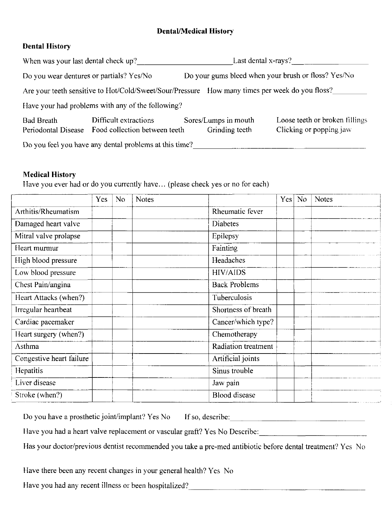### **Dental/Medical History**

### **Dental History**

| When was your last dental check up? |                                                                                                | Last dental x-rays?                    |                                                           |  |  |  |
|-------------------------------------|------------------------------------------------------------------------------------------------|----------------------------------------|-----------------------------------------------------------|--|--|--|
|                                     | Do you wear dentures or partials? Yes/No                                                       |                                        | Do your gums bleed when your brush or floss? Yes/No       |  |  |  |
|                                     | Are your teeth sensitive to Hot/Cold/Sweet/Sour/Pressure How many times per week do you floss? |                                        |                                                           |  |  |  |
|                                     | Have your had problems with any of the following?                                              |                                        |                                                           |  |  |  |
| <b>Bad Breath</b>                   | Difficult extractions<br>Periodontal Disease Food collection between teeth                     | Sores/Lumps in mouth<br>Grinding teeth | Loose teeth or broken fillings<br>Clicking or popping jaw |  |  |  |
|                                     | Do you feel you have any dental problems at this time?                                         |                                        |                                                           |  |  |  |

#### **Medical History**

Have you ever had or do you currently have... (please check yes or no for each)

|                          | Yes | N <sub>o</sub> | <b>Notes</b> |                      | Yes | N <sub>o</sub> | <b>Notes</b> |
|--------------------------|-----|----------------|--------------|----------------------|-----|----------------|--------------|
| Arthitis/Rheumatism      |     |                |              | Rheumatic fever      |     |                |              |
| Damaged heart valve      |     |                |              | <b>Diabetes</b>      |     |                |              |
| Mitral valve prolapse    |     |                |              | Epilepsy             |     |                |              |
| Heart murmur             |     |                |              | Fainting             |     |                |              |
| High blood pressure      |     |                |              | Headaches            |     |                |              |
| Low blood pressure       |     |                |              | <b>HIV/AIDS</b>      |     |                |              |
| Chest Pain/angina        |     |                |              | <b>Back Problems</b> |     |                |              |
| Heart Attacks (when?)    |     |                |              | Tuberculosis         |     |                |              |
| Irregular heartbeat      |     |                |              | Shortness of breath  |     |                |              |
| Cardiac pacemaker        |     |                |              | Cancer/which type?   |     |                |              |
| Heart surgery (when?)    |     |                |              | Chemotherapy         |     |                |              |
| Asthma                   |     |                |              | Radiation treatment  |     |                |              |
| Congestive heart failure |     |                |              | Artificial joints    |     |                |              |
| Hepatitis                |     |                |              | Sinus trouble        |     |                |              |
| Liver disease            |     |                |              | Jaw pain             |     |                |              |
| Stroke (when?)           |     |                |              | <b>Blood</b> disease |     |                |              |

| Do you have a prosthetic joint/implant? Yes No If so, describe: |  |
|-----------------------------------------------------------------|--|
|-----------------------------------------------------------------|--|

Have you had a heart valve replacement or vascular graft? Yes No Describe: \_\_\_\_\_\_\_\_\_\_\_\_\_\_\_\_\_\_\_\_\_\_\_\_\_\_\_\_\_\_\_\_\_\_\_

Has your doctor/previous dentist recommended you take a pre-med antibiotic before dental treatment? Yes No

Have there been any recent changes in your general health? Yes No

Have you had any recent illness or been hospitalized?